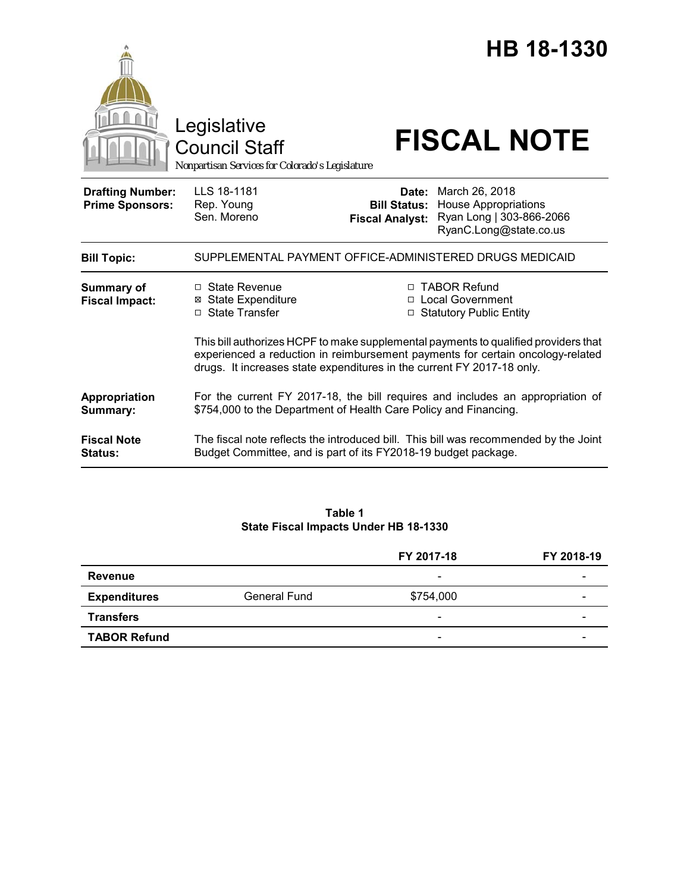|                                                   | Legislative<br><b>Council Staff</b><br>Nonpartisan Services for Colorado's Legislature                                                                                                                                                          |                                                        | HB 18-1330<br><b>FISCAL NOTE</b>                                                                    |
|---------------------------------------------------|-------------------------------------------------------------------------------------------------------------------------------------------------------------------------------------------------------------------------------------------------|--------------------------------------------------------|-----------------------------------------------------------------------------------------------------|
| <b>Drafting Number:</b><br><b>Prime Sponsors:</b> | LLS 18-1181<br>Rep. Young<br>Sen. Moreno                                                                                                                                                                                                        | Date:<br><b>Bill Status:</b><br><b>Fiscal Analyst:</b> | March 26, 2018<br><b>House Appropriations</b><br>Ryan Long   303-866-2066<br>RyanC.Long@state.co.us |
| <b>Bill Topic:</b>                                | SUPPLEMENTAL PAYMENT OFFICE-ADMINISTERED DRUGS MEDICAID                                                                                                                                                                                         |                                                        |                                                                                                     |
| <b>Summary of</b><br><b>Fiscal Impact:</b>        | $\Box$ State Revenue<br>⊠ State Expenditure<br>□ State Transfer                                                                                                                                                                                 |                                                        | □ TABOR Refund<br>□ Local Government<br><b>Statutory Public Entity</b>                              |
|                                                   | This bill authorizes HCPF to make supplemental payments to qualified providers that<br>experienced a reduction in reimbursement payments for certain oncology-related<br>drugs. It increases state expenditures in the current FY 2017-18 only. |                                                        |                                                                                                     |
| Appropriation<br>Summary:                         | For the current FY 2017-18, the bill requires and includes an appropriation of<br>\$754,000 to the Department of Health Care Policy and Financing.                                                                                              |                                                        |                                                                                                     |
| <b>Fiscal Note</b><br><b>Status:</b>              | The fiscal note reflects the introduced bill. This bill was recommended by the Joint<br>Budget Committee, and is part of its FY2018-19 budget package.                                                                                          |                                                        |                                                                                                     |

# **Table 1 State Fiscal Impacts Under HB 18-1330**

|                     |              | FY 2017-18               | FY 2018-19 |
|---------------------|--------------|--------------------------|------------|
| Revenue             |              | -                        |            |
| <b>Expenditures</b> | General Fund | \$754,000                | -          |
| <b>Transfers</b>    |              | $\overline{\phantom{0}}$ | -          |
| <b>TABOR Refund</b> |              | $\overline{\phantom{0}}$ |            |